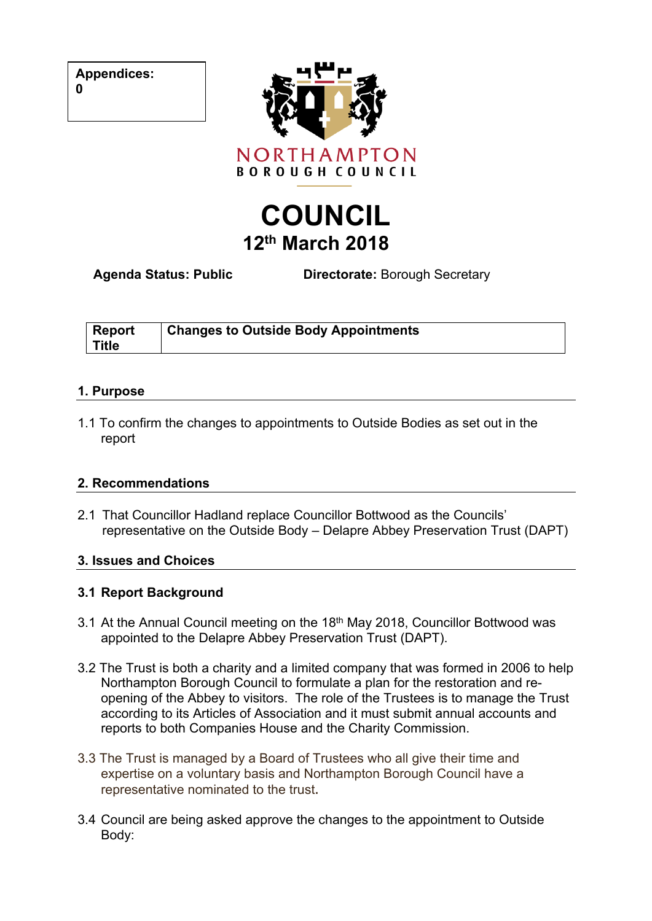|  | <b>Appendices:</b> |
|--|--------------------|
|--|--------------------|



# **COUNCIL 12th March 2018**

**Agenda Status: Public Directorate:** Borough Secretary

| <b>Report</b> | <b>Changes to Outside Body Appointments</b> |
|---------------|---------------------------------------------|
| <b>Title</b>  |                                             |

#### **1. Purpose**

1.1 To confirm the changes to appointments to Outside Bodies as set out in the report

#### **2. Recommendations**

2.1 That Councillor Hadland replace Councillor Bottwood as the Councils' representative on the Outside Body – Delapre Abbey Preservation Trust (DAPT)

#### **3. Issues and Choices**

#### **3.1 Report Background**

- 3.1 At the Annual Council meeting on the 18<sup>th</sup> May 2018, Councillor Bottwood was appointed to the Delapre Abbey Preservation Trust (DAPT).
- 3.2 The Trust is both a charity and a limited company that was formed in 2006 to help Northampton Borough Council to formulate a plan for the restoration and reopening of the Abbey to visitors. The role of the Trustees is to manage the Trust according to its Articles of Association and it must submit annual accounts and reports to both Companies House and the Charity Commission.
- 3.3 The Trust is managed by a Board of Trustees who all give their time and expertise on a voluntary basis and Northampton Borough Council have a representative nominated to the trust.
- 3.4 Council are being asked approve the changes to the appointment to Outside Body:

**0**